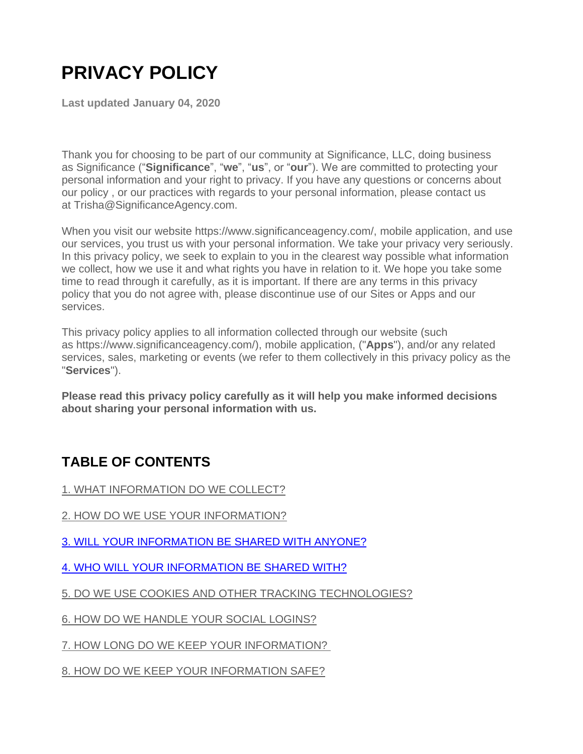# **PRIVACY POLICY**

**Last updated January 04, 2020**

Thank you for choosing to be part of our community at Significance, LLC, doing business as Significance ("**Significance**", "**we**", "**us**", or "**our**"). We are committed to protecting your personal information and your right to privacy. If you have any questions or concerns about our policy , or our practices with regards to your personal information, please contact us at Trisha@SignificanceAgency.com.

When you visit our website https://www.significanceagency.com/, mobile application, and use our services, you trust us with your personal information. We take your privacy very seriously. In this privacy policy, we seek to explain to you in the clearest way possible what information we collect, how we use it and what rights you have in relation to it. We hope you take some time to read through it carefully, as it is important. If there are any terms in this privacy policy that you do not agree with, please discontinue use of our Sites or Apps and our services.

This privacy policy applies to all information collected through our website (such as https://www.significanceagency.com/), mobile application, ("**Apps**"), and/or any related services, sales, marketing or events (we refer to them collectively in this privacy policy as the "**Services**").

**Please read this privacy policy carefully as it will help you make informed decisions about sharing your personal information with us.** 

# **TABLE OF CONTENTS**

[1. WHAT INFORMATION DO WE COLLECT?](https://app.termly.io/dashboard/website/317916/privacy-policy#infocollect)

- [2. HOW DO WE USE YOUR INFORMATION?](https://app.termly.io/dashboard/website/317916/privacy-policy#infouse)
- [3. WILL YOUR INFORMATION BE SHARED WITH ANYONE?](https://app.termly.io/dashboard/website/317916/privacy-policy#infoshare)
- [4. WHO WILL YOUR INFORMATION BE SHARED WITH?](https://app.termly.io/dashboard/website/317916/privacy-policy#whoshare)
- [5. DO WE USE COOKIES AND OTHER TRACKING TECHNOLOGIES?](https://app.termly.io/dashboard/website/317916/privacy-policy#cookies)

[6. HOW DO WE HANDLE YOUR SOCIAL LOGINS?](https://app.termly.io/dashboard/website/317916/privacy-policy#sociallogins) 

[7. HOW LONG DO WE KEEP YOUR INFORMATION?](https://app.termly.io/dashboard/website/317916/privacy-policy#inforetain) 

[8. HOW DO WE KEEP YOUR INFORMATION SAFE?](https://app.termly.io/dashboard/website/317916/privacy-policy#infosafe)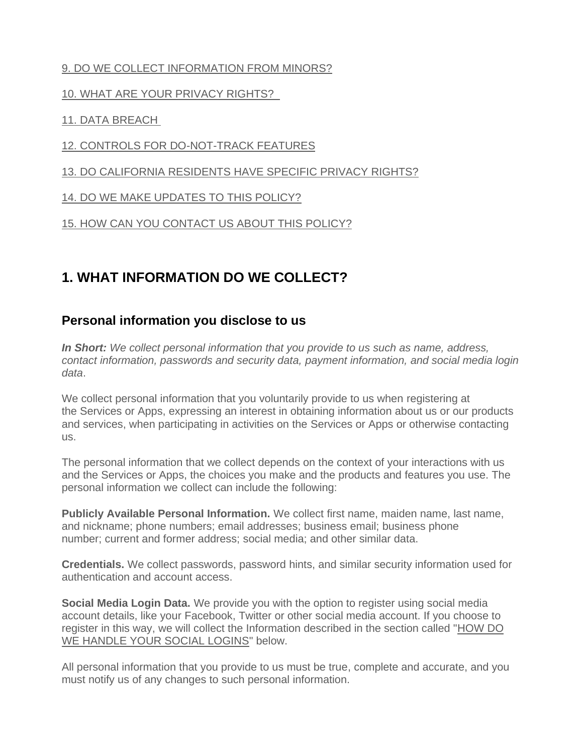### [9. DO WE COLLECT INFORMATION FROM MINORS?](https://app.termly.io/dashboard/website/317916/privacy-policy#infominors)

#### [10. WHAT ARE YOUR PRIVACY RIGHTS?](https://app.termly.io/dashboard/website/317916/privacy-policy#privacyrights)

### [11. DATA BREACH](https://app.termly.io/dashboard/website/317916/privacy-policy#databreach)

### [12. CONTROLS FOR DO-NOT-TRACK FEATURES](https://app.termly.io/dashboard/website/317916/privacy-policy#DNT)

[13. DO CALIFORNIA RESIDENTS HAVE SPECIFIC PRIVACY RIGHTS?](https://app.termly.io/dashboard/website/317916/privacy-policy#caresidents)

[14. DO WE MAKE UPDATES TO THIS POLICY?](https://app.termly.io/dashboard/website/317916/privacy-policy#policyupdates)

[15. HOW CAN YOU CONTACT US ABOUT THIS POLICY?](https://app.termly.io/dashboard/website/317916/privacy-policy#contact)

# **1. WHAT INFORMATION DO WE COLLECT?**

### **Personal information you disclose to us**

*In Short: We collect personal information that you provide to us such as name, address, contact information, passwords and security data, payment information, and social media login data*.

We collect personal information that you voluntarily provide to us when registering at the Services or Apps, expressing an interest in obtaining information about us or our products and services, when participating in activities on the Services or Apps or otherwise contacting us.

The personal information that we collect depends on the context of your interactions with us and the Services or Apps, the choices you make and the products and features you use. The personal information we collect can include the following:

**Publicly Available Personal Information.** We collect first name, maiden name, last name, and nickname; phone numbers; email addresses; business email; business phone number; current and former address; social media; and other similar data.

**Credentials.** We collect passwords, password hints, and similar security information used for authentication and account access.

**Social Media Login Data.** We provide you with the option to register using social media account details, like your Facebook, Twitter or other social media account. If you choose to register in this way, we will collect the Information described in the section called ["HOW DO](https://app.termly.io/dashboard/website/317916/privacy-policy#sociallogins)  [WE HANDLE YOUR SOCIAL LOGINS"](https://app.termly.io/dashboard/website/317916/privacy-policy#sociallogins) below.

All personal information that you provide to us must be true, complete and accurate, and you must notify us of any changes to such personal information.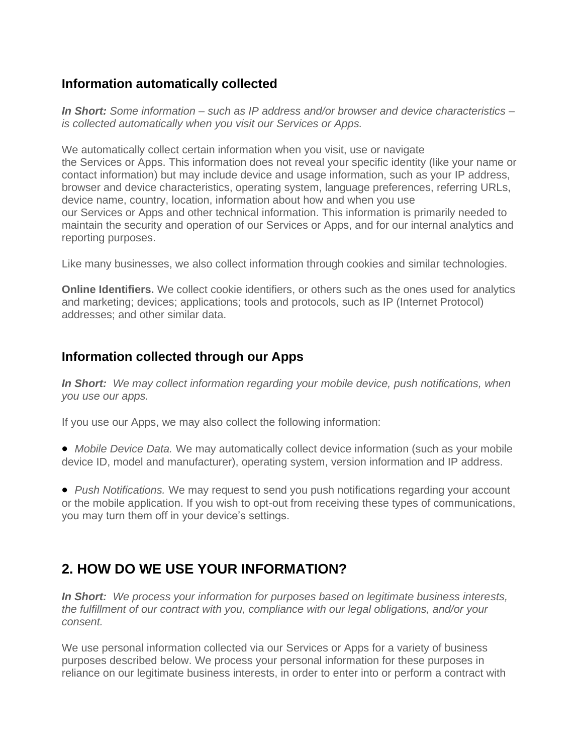### **Information automatically collected**

*In Short: Some information – such as IP address and/or browser and device characteristics – is collected automatically when you visit our Services or Apps.*

We automatically collect certain information when you visit, use or navigate the Services or Apps. This information does not reveal your specific identity (like your name or contact information) but may include device and usage information, such as your IP address, browser and device characteristics, operating system, language preferences, referring URLs, device name, country, location, information about how and when you use our Services or Apps and other technical information. This information is primarily needed to maintain the security and operation of our Services or Apps, and for our internal analytics and reporting purposes.

Like many businesses, we also collect information through cookies and similar technologies.

**Online Identifiers.** We collect cookie identifiers, or others such as the ones used for analytics and marketing; devices; applications; tools and protocols, such as IP (Internet Protocol) addresses; and other similar data.

### **Information collected through our Apps**

*In Short:**We may collect information regarding your mobile device, push notifications, when you use our apps.*

If you use our Apps, we may also collect the following information:

• *Mobile Device Data.* We may automatically collect device information (such as your mobile device ID, model and manufacturer), operating system, version information and IP address.

• *Push Notifications.* We may request to send you push notifications regarding your account or the mobile application. If you wish to opt-out from receiving these types of communications, you may turn them off in your device's settings.

# **2. HOW DO WE USE YOUR INFORMATION?**

*In Short: We process your information for purposes based on legitimate business interests, the fulfillment of our contract with you, compliance with our legal obligations, and/or your consent.*

We use personal information collected via our Services or Apps for a variety of business purposes described below. We process your personal information for these purposes in reliance on our legitimate business interests, in order to enter into or perform a contract with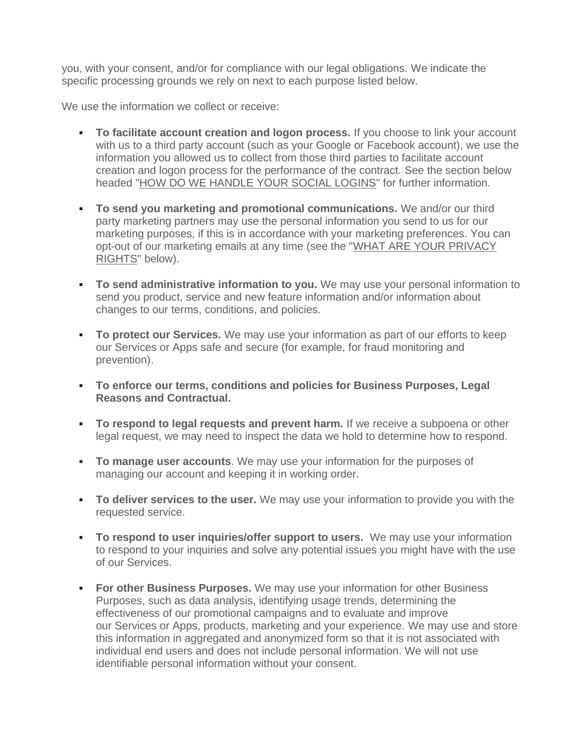you, with your consent, and/or for compliance with our legal obligations. We indicate the specific processing grounds we rely on next to each purpose listed below.

We use the information we collect or receive:

- **To facilitate account creation and logon process.** If you choose to link your account with us to a third party account (such as your Google or Facebook account), we use the information you allowed us to collect from those third parties to facilitate account creation and logon process for the performance of the contract. See the section below headed ["HOW DO WE HANDLE YOUR SOCIAL LOGINS"](https://app.termly.io/dashboard/website/317916/privacy-policy#sociallogins) for further information.
- **To send you marketing and promotional communications.** We and/or our third party marketing partners may use the personal information you send to us for our marketing purposes, if this is in accordance with your marketing preferences. You can opt-out of our marketing emails at any time (see the ["WHAT ARE YOUR PRIVACY](https://app.termly.io/dashboard/website/317916/privacy-policy#privacyrights)  [RIGHTS"](https://app.termly.io/dashboard/website/317916/privacy-policy#privacyrights) below).
- **To send administrative information to you.** We may use your personal information to send you product, service and new feature information and/or information about changes to our terms, conditions, and policies.
- **To protect our Services.** We may use your information as part of our efforts to keep our Services or Apps safe and secure (for example, for fraud monitoring and prevention).
- **To enforce our terms, conditions and policies for Business Purposes, Legal Reasons and Contractual.**
- **To respond to legal requests and prevent harm.** If we receive a subpoena or other legal request, we may need to inspect the data we hold to determine how to respond.
- **To manage user accounts**. We may use your information for the purposes of managing our account and keeping it in working order.
- **To deliver services to the user.** We may use your information to provide you with the requested service.
- **To respond to user inquiries/offer support to users.** We may use your information to respond to your inquiries and solve any potential issues you might have with the use of our Services.
- **For other Business Purposes.** We may use your information for other Business Purposes, such as data analysis, identifying usage trends, determining the effectiveness of our promotional campaigns and to evaluate and improve our Services or Apps, products, marketing and your experience. We may use and store this information in aggregated and anonymized form so that it is not associated with individual end users and does not include personal information. We will not use identifiable personal information without your consent.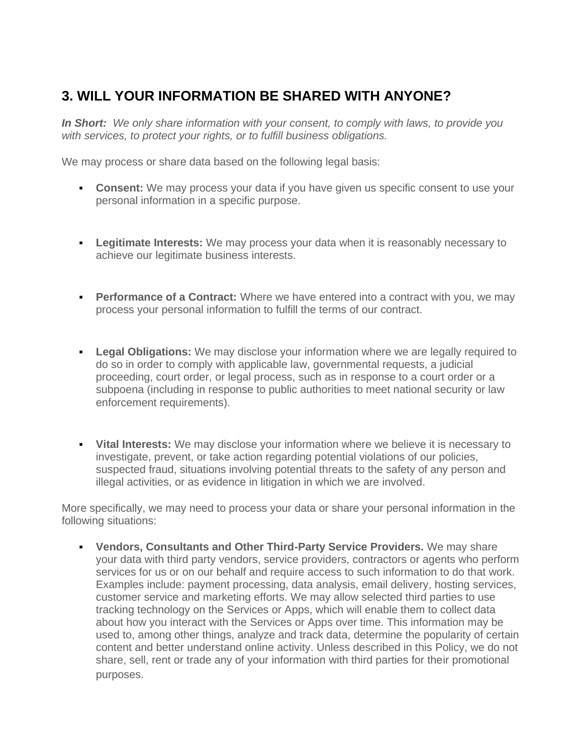# **3. WILL YOUR INFORMATION BE SHARED WITH ANYONE?**

*In Short: We only share information with your consent, to comply with laws, to provide you with services, to protect your rights, or to fulfill business obligations.*

We may process or share data based on the following legal basis:

- **Consent:** We may process your data if you have given us specific consent to use your personal information in a specific purpose.
- **Legitimate Interests:** We may process your data when it is reasonably necessary to achieve our legitimate business interests.
- **Performance of a Contract:** Where we have entered into a contract with you, we may process your personal information to fulfill the terms of our contract.
- **Legal Obligations:** We may disclose your information where we are legally required to do so in order to comply with applicable law, governmental requests, a judicial proceeding, court order, or legal process, such as in response to a court order or a subpoena (including in response to public authorities to meet national security or law enforcement requirements).
- **Vital Interests:** We may disclose your information where we believe it is necessary to investigate, prevent, or take action regarding potential violations of our policies, suspected fraud, situations involving potential threats to the safety of any person and illegal activities, or as evidence in litigation in which we are involved.

More specifically, we may need to process your data or share your personal information in the following situations:

▪ **Vendors, Consultants and Other Third-Party Service Providers.** We may share your data with third party vendors, service providers, contractors or agents who perform services for us or on our behalf and require access to such information to do that work. Examples include: payment processing, data analysis, email delivery, hosting services, customer service and marketing efforts. We may allow selected third parties to use tracking technology on the Services or Apps, which will enable them to collect data about how you interact with the Services or Apps over time. This information may be used to, among other things, analyze and track data, determine the popularity of certain content and better understand online activity. Unless described in this Policy, we do not share, sell, rent or trade any of your information with third parties for their promotional purposes.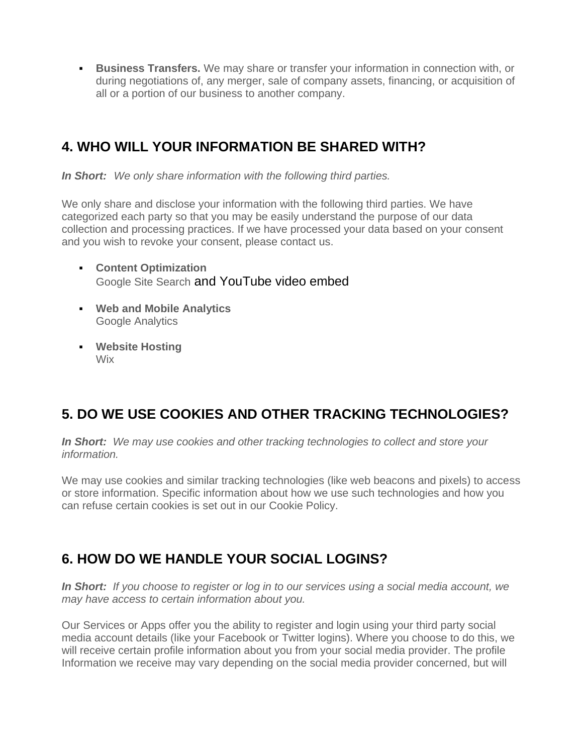**EUSINESS Transfers.** We may share or transfer your information in connection with, or during negotiations of, any merger, sale of company assets, financing, or acquisition of all or a portion of our business to another company.

# **4. WHO WILL YOUR INFORMATION BE SHARED WITH?**

*In Short: We only share information with the following third parties.*

We only share and disclose your information with the following third parties. We have categorized each party so that you may be easily understand the purpose of our data collection and processing practices. If we have processed your data based on your consent and you wish to revoke your consent, please contact us.

- **Content Optimization** Google Site Search and YouTube video embed
- **Web and Mobile Analytics** Google Analytics
- **Website Hosting** Wix

# **5. DO WE USE COOKIES AND OTHER TRACKING TECHNOLOGIES?**

*In Short: We may use cookies and other tracking technologies to collect and store your information.*

We may use cookies and similar tracking technologies (like web beacons and pixels) to access or store information. Specific information about how we use such technologies and how you can refuse certain cookies is set out in our Cookie Policy.

# **6. HOW DO WE HANDLE YOUR SOCIAL LOGINS?**

*In Short: If you choose to register or log in to our services using a social media account, we may have access to certain information about you.*

Our Services or Apps offer you the ability to register and login using your third party social media account details (like your Facebook or Twitter logins). Where you choose to do this, we will receive certain profile information about you from your social media provider. The profile Information we receive may vary depending on the social media provider concerned, but will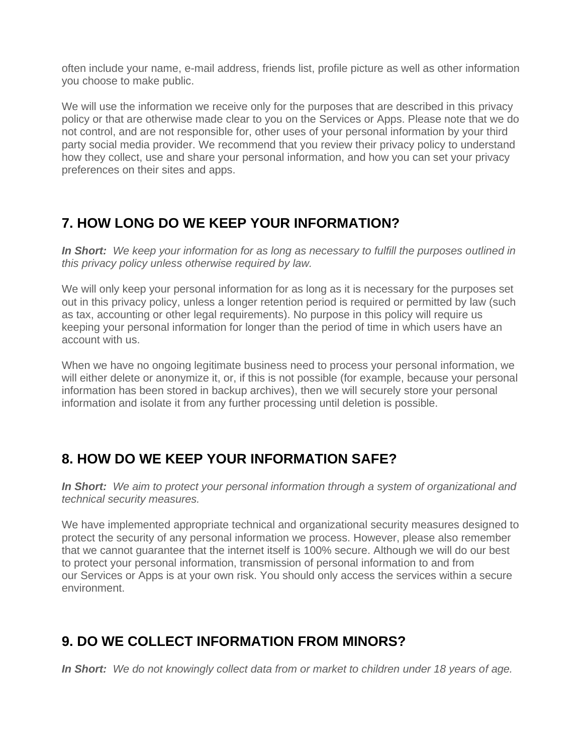often include your name, e-mail address, friends list, profile picture as well as other information you choose to make public.

We will use the information we receive only for the purposes that are described in this privacy policy or that are otherwise made clear to you on the Services or Apps. Please note that we do not control, and are not responsible for, other uses of your personal information by your third party social media provider. We recommend that you review their privacy policy to understand how they collect, use and share your personal information, and how you can set your privacy preferences on their sites and apps.

### **7. HOW LONG DO WE KEEP YOUR INFORMATION?**

*In Short: We keep your information for as long as necessary to fulfill the purposes outlined in this privacy policy unless otherwise required by law.*

We will only keep your personal information for as long as it is necessary for the purposes set out in this privacy policy, unless a longer retention period is required or permitted by law (such as tax, accounting or other legal requirements). No purpose in this policy will require us keeping your personal information for longer than the period of time in which users have an account with us.

When we have no ongoing legitimate business need to process your personal information, we will either delete or anonymize it, or, if this is not possible (for example, because your personal information has been stored in backup archives), then we will securely store your personal information and isolate it from any further processing until deletion is possible.

# **8. HOW DO WE KEEP YOUR INFORMATION SAFE?**

*In Short: We aim to protect your personal information through a system of organizational and technical security measures.*

We have implemented appropriate technical and organizational security measures designed to protect the security of any personal information we process. However, please also remember that we cannot guarantee that the internet itself is 100% secure. Although we will do our best to protect your personal information, transmission of personal information to and from our Services or Apps is at your own risk. You should only access the services within a secure environment.

# **9. DO WE COLLECT INFORMATION FROM MINORS?**

*In Short: We do not knowingly collect data from or market to children under 18 years of age.*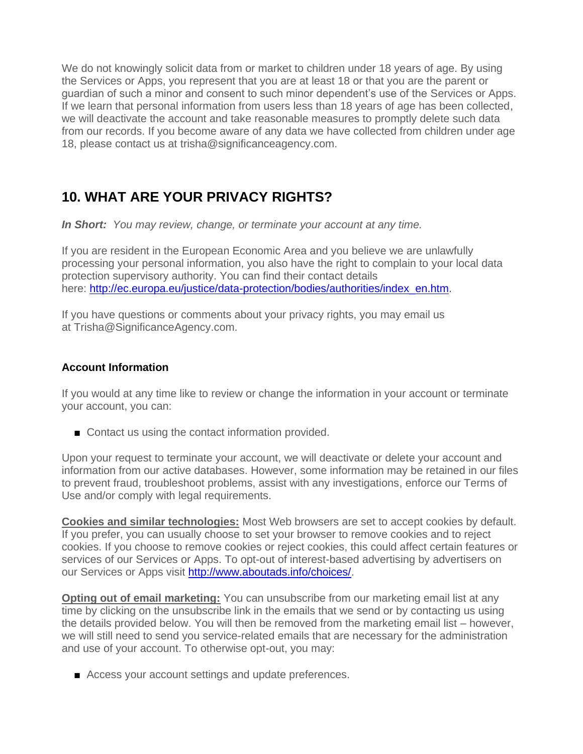We do not knowingly solicit data from or market to children under 18 years of age. By using the Services or Apps, you represent that you are at least 18 or that you are the parent or guardian of such a minor and consent to such minor dependent's use of the Services or Apps. If we learn that personal information from users less than 18 years of age has been collected, we will deactivate the account and take reasonable measures to promptly delete such data from our records. If you become aware of any data we have collected from children under age 18, please contact us at trisha@significanceagency.com.

# **10. WHAT ARE YOUR PRIVACY RIGHTS?**

*In Short: You may review, change, or terminate your account at any time.*

If you are resident in the European Economic Area and you believe we are unlawfully processing your personal information, you also have the right to complain to your local data protection supervisory authority. You can find their contact details here: [http://ec.europa.eu/justice/data-protection/bodies/authorities/index\\_en.htm.](http://ec.europa.eu/justice/data-protection/bodies/authorities/index_en.htm)

If you have questions or comments about your privacy rights, you may email us at Trisha@SignificanceAgency.com.

#### **Account Information**

If you would at any time like to review or change the information in your account or terminate your account, you can:

■ Contact us using the contact information provided.

Upon your request to terminate your account, we will deactivate or delete your account and information from our active databases. However, some information may be retained in our files to prevent fraud, troubleshoot problems, assist with any investigations, enforce our Terms of Use and/or comply with legal requirements.

**Cookies and similar technologies:** Most Web browsers are set to accept cookies by default. If you prefer, you can usually choose to set your browser to remove cookies and to reject cookies. If you choose to remove cookies or reject cookies, this could affect certain features or services of our Services or Apps. To opt-out of interest-based advertising by advertisers on our Services or Apps visit [http://www.aboutads.info/choices/.](http://www.aboutads.info/choices/)

**Opting out of email marketing:** You can unsubscribe from our marketing email list at any time by clicking on the unsubscribe link in the emails that we send or by contacting us using the details provided below. You will then be removed from the marketing email list – however, we will still need to send you service-related emails that are necessary for the administration and use of your account. To otherwise opt-out, you may:

■ Access your account settings and update preferences.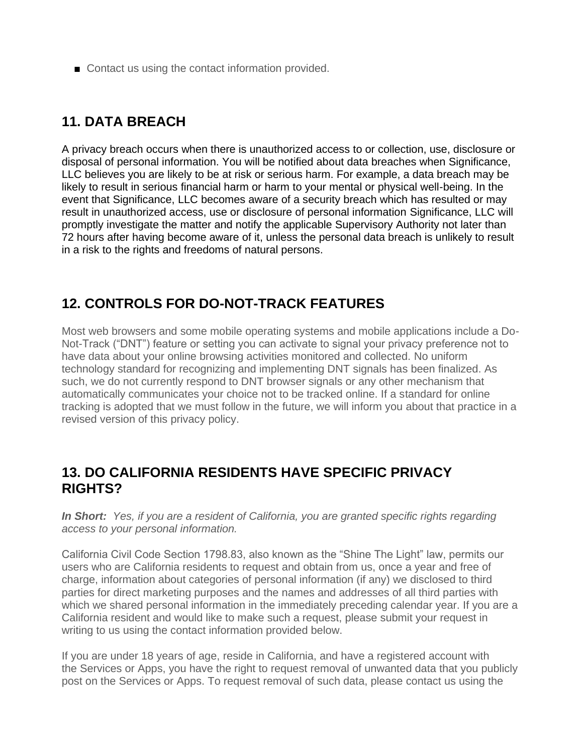■ Contact us using the contact information provided.

# **11. DATA BREACH**

A privacy breach occurs when there is unauthorized access to or collection, use, disclosure or disposal of personal information. You will be notified about data breaches when Significance, LLC believes you are likely to be at risk or serious harm. For example, a data breach may be likely to result in serious financial harm or harm to your mental or physical well-being. In the event that Significance, LLC becomes aware of a security breach which has resulted or may result in unauthorized access, use or disclosure of personal information Significance, LLC will promptly investigate the matter and notify the applicable Supervisory Authority not later than 72 hours after having become aware of it, unless the personal data breach is unlikely to result in a risk to the rights and freedoms of natural persons.

### **12. CONTROLS FOR DO-NOT-TRACK FEATURES**

Most web browsers and some mobile operating systems and mobile applications include a Do-Not-Track ("DNT") feature or setting you can activate to signal your privacy preference not to have data about your online browsing activities monitored and collected. No uniform technology standard for recognizing and implementing DNT signals has been finalized. As such, we do not currently respond to DNT browser signals or any other mechanism that automatically communicates your choice not to be tracked online. If a standard for online tracking is adopted that we must follow in the future, we will inform you about that practice in a revised version of this privacy policy.

### **13. DO CALIFORNIA RESIDENTS HAVE SPECIFIC PRIVACY RIGHTS?**

*In Short: Yes, if you are a resident of California, you are granted specific rights regarding access to your personal information.*

California Civil Code Section 1798.83, also known as the "Shine The Light" law, permits our users who are California residents to request and obtain from us, once a year and free of charge, information about categories of personal information (if any) we disclosed to third parties for direct marketing purposes and the names and addresses of all third parties with which we shared personal information in the immediately preceding calendar year. If you are a California resident and would like to make such a request, please submit your request in writing to us using the contact information provided below.

If you are under 18 years of age, reside in California, and have a registered account with the Services or Apps, you have the right to request removal of unwanted data that you publicly post on the Services or Apps. To request removal of such data, please contact us using the